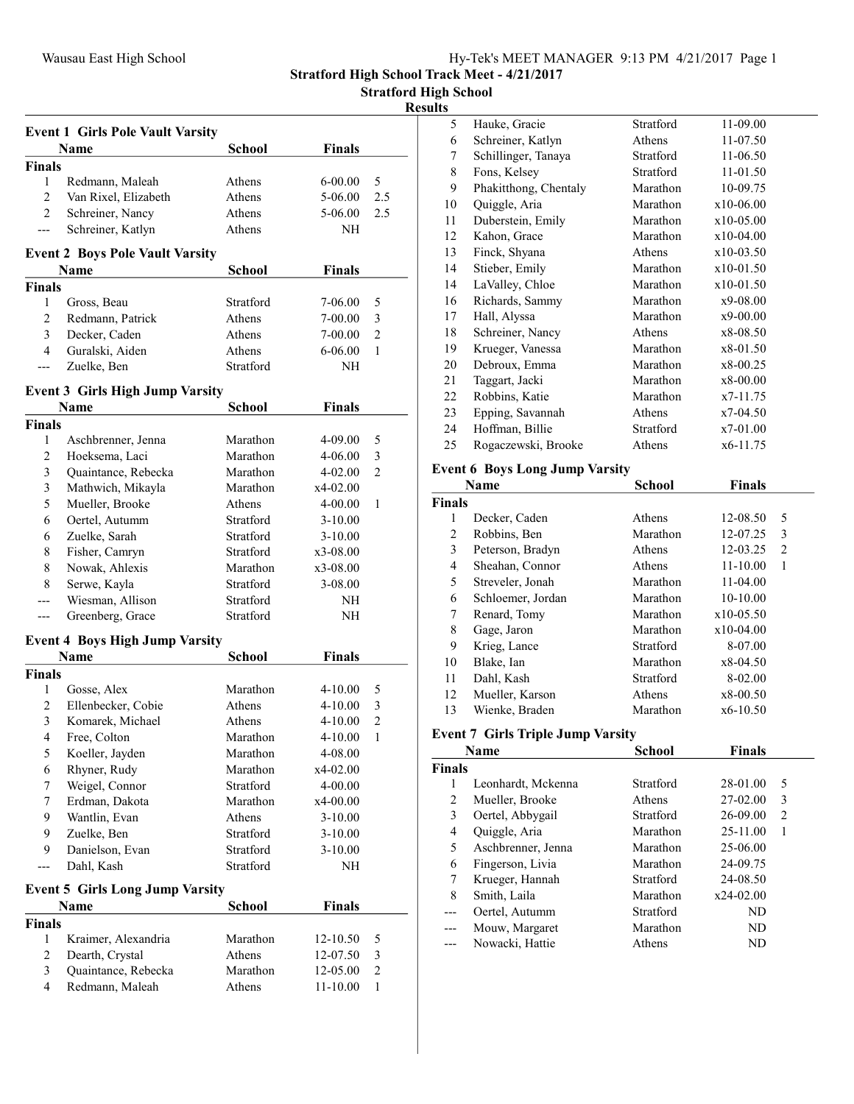Stratford High School Track Meet - 4/21/2017

Stratford High School

# Results

|                    | <b>Event 1 Girls Pole Vault Varsity</b> |               |               |                |
|--------------------|-----------------------------------------|---------------|---------------|----------------|
|                    | Name                                    | School        | <b>Finals</b> |                |
| <b>Finals</b>      |                                         |               |               |                |
| $\mathbf{1}$       | Redmann, Maleah                         | Athens        | 6-00.00       | 5              |
| $\overline{2}$     | Van Rixel, Elizabeth                    | Athens        | 5-06.00       | 2.5            |
| $\overline{2}$     | Schreiner, Nancy                        | Athens        | 5-06.00       | 2.5            |
| $---$              | Schreiner, Katlyn                       | Athens        | NH            |                |
|                    | <b>Event 2 Boys Pole Vault Varsity</b>  |               |               |                |
|                    | Name                                    | <b>School</b> | <b>Finals</b> |                |
| <b>Finals</b>      |                                         |               |               |                |
| 1                  | Gross, Beau                             | Stratford     | 7-06.00       | 5              |
| $\overline{c}$     | Redmann, Patrick                        | Athens        | 7-00.00       | 3              |
| 3                  | Decker, Caden                           | Athens        | 7-00.00       | $\overline{2}$ |
| 4                  | Guralski, Aiden                         | Athens        | 6-06.00       | 1              |
| ---                | Zuelke, Ben                             | Stratford     | NΗ            |                |
|                    |                                         |               |               |                |
|                    | <b>Event 3 Girls High Jump Varsity</b>  |               |               |                |
| <b>Finals</b>      | Name                                    | <b>School</b> | <b>Finals</b> |                |
|                    |                                         |               |               |                |
| 1                  | Aschbrenner, Jenna                      | Marathon      | 4-09.00       | 5              |
| 2                  | Hoeksema, Laci                          | Marathon      | $4 - 06.00$   | 3              |
| 3                  | Quaintance, Rebecka                     | Marathon      | 4-02.00       | 2              |
| 3                  | Mathwich, Mikayla                       | Marathon      | x4-02.00      |                |
| 5                  | Mueller, Brooke                         | Athens        | 4-00.00       | 1              |
| 6                  | Oertel, Autumm                          | Stratford     | $3-10.00$     |                |
| 6                  | Zuelke, Sarah                           | Stratford     | $3-10.00$     |                |
| 8                  | Fisher, Camryn                          | Stratford     | x3-08.00      |                |
| 8                  | Nowak, Ahlexis                          | Marathon      | x3-08.00      |                |
| 8                  | Serwe, Kayla                            | Stratford     | 3-08.00       |                |
|                    | Wiesman, Allison                        | Stratford     | NΗ            |                |
| ---                | Greenberg, Grace                        | Stratford     | NH            |                |
|                    | <b>Event 4 Boys High Jump Varsity</b>   |               |               |                |
|                    | <b>Name</b>                             | <b>School</b> | <b>Finals</b> |                |
| <b>Finals</b>      |                                         |               |               |                |
| 1                  | Gosse, Alex                             | Marathon      | $4 - 10.00$   | 5              |
| 2                  | Ellenbecker, Cobie                      | Athens        | $4 - 10.00$   | 3              |
| 3                  | Komarek, Michael                        | Athens        | 4-10.00       | $\overline{2}$ |
| 4                  | Free, Colton                            | Marathon      | 4-10.00       | 1              |
| 5                  | Koeller, Jayden                         | Marathon      | 4-08.00       |                |
| 6                  | Rhyner, Rudy                            | Marathon      | x4-02.00      |                |
| 7                  | Weigel, Connor                          | Stratford     | 4-00.00       |                |
| 7                  | Erdman, Dakota                          | Marathon      | x4-00.00      |                |
| 9                  | Wantlin, Evan                           | Athens        | $3-10.00$     |                |
| 9                  | Zuelke, Ben                             | Stratford     | $3-10.00$     |                |
| 9                  | Danielson, Evan                         | Stratford     | 3-10.00       |                |
| ---                | Dahl, Kash                              | Stratford     | NH            |                |
|                    |                                         |               |               |                |
|                    | <b>Event 5 Girls Long Jump Varsity</b>  |               |               |                |
|                    | <b>Name</b>                             | School        | Finals        |                |
| <b>Finals</b><br>1 | Kraimer, Alexandria                     | Marathon      | 12-10.50      | 5              |
|                    |                                         | Athens        |               |                |
| $\overline{c}$     | Dearth, Crystal                         |               | 12-07.50      | 3              |
| 3                  | Quaintance, Rebecka                     | Marathon      | 12-05.00      | $\sqrt{2}$     |
| $\overline{4}$     | Redmann, Maleah                         | Athens        | 11-10.00      | 1              |

| 5  | Hauke, Gracie         | Stratford | 11-09.00    |  |
|----|-----------------------|-----------|-------------|--|
| 6  | Schreiner, Katlyn     | Athens    | 11-07.50    |  |
| 7  | Schillinger, Tanaya   | Stratford | 11-06.50    |  |
| 8  | Fons, Kelsey          | Stratford | 11-01.50    |  |
| 9  | Phakitthong, Chentaly | Marathon  | 10-09.75    |  |
| 10 | Quiggle, Aria         | Marathon  | x10-06.00   |  |
| 11 | Duberstein, Emily     | Marathon  | x10-05.00   |  |
| 12 | Kahon, Grace          | Marathon  | x10-04.00   |  |
| 13 | Finck, Shyana         | Athens    | x10-03.50   |  |
| 14 | Stieber, Emily        | Marathon  | $x10-01.50$ |  |
| 14 | LaValley, Chloe       | Marathon  | x10-01.50   |  |
| 16 | Richards, Sammy       | Marathon  | x9-08.00    |  |
| 17 | Hall, Alyssa          | Marathon  | x9-00.00    |  |
| 18 | Schreiner, Nancy      | Athens    | x8-08.50    |  |
| 19 | Krueger, Vanessa      | Marathon  | x8-01.50    |  |
| 20 | Debroux, Emma         | Marathon  | x8-00.25    |  |
| 21 | Taggart, Jacki        | Marathon  | x8-00.00    |  |
| 22 | Robbins, Katie        | Marathon  | x7-11.75    |  |
| 23 | Epping, Savannah      | Athens    | x7-04.50    |  |
| 24 | Hoffman, Billie       | Stratford | x7-01.00    |  |
| 25 | Rogaczewski, Brooke   | Athens    | x6-11.75    |  |
|    |                       |           |             |  |

# Event 6 Boys Long Jump Varsity

| Name          |                   | <b>School</b> | <b>Finals</b> |   |
|---------------|-------------------|---------------|---------------|---|
| <b>Finals</b> |                   |               |               |   |
| 1             | Decker, Caden     | Athens        | 12-08.50      | 5 |
| 2             | Robbins, Ben      | Marathon      | 12-07.25      | 3 |
| 3             | Peterson, Bradyn  | Athens        | 12-03.25      | 2 |
| 4             | Sheahan, Connor   | Athens        | $11 - 10.00$  | 1 |
| 5             | Streveler, Jonah  | Marathon      | $11-04.00$    |   |
| 6             | Schloemer, Jordan | Marathon      | 10-10.00      |   |
| 7             | Renard, Tomy      | Marathon      | $x10-05.50$   |   |
| 8             | Gage, Jaron       | Marathon      | $x10-04.00$   |   |
| 9             | Krieg, Lance      | Stratford     | 8-07.00       |   |
| 10            | Blake, Ian        | Marathon      | $x8-04.50$    |   |
| 11            | Dahl, Kash        | Stratford     | 8-02.00       |   |
| 12            | Mueller, Karson   | Athens        | x8-00.50      |   |
| 13            | Wienke, Braden    | Marathon      | $x6-10.50$    |   |
|               |                   |               |               |   |

# Event 7 Girls Triple Jump Varsity

| Name          |                    | <b>School</b> | <b>Finals</b> |   |
|---------------|--------------------|---------------|---------------|---|
| <b>Finals</b> |                    |               |               |   |
| 1             | Leonhardt, Mckenna | Stratford     | 28-01.00      | 5 |
| 2             | Mueller, Brooke    | Athens        | 27-02.00      | 3 |
| 3             | Oertel, Abbygail   | Stratford     | 26-09.00      | 2 |
| 4             | Quiggle, Aria      | Marathon      | 25-11.00      | 1 |
| 5             | Aschbrenner, Jenna | Marathon      | 25-06.00      |   |
| 6             | Fingerson, Livia   | Marathon      | 24-09.75      |   |
| 7             | Krueger, Hannah    | Stratford     | 24-08.50      |   |
| 8             | Smith, Laila       | Marathon      | $x24-02.00$   |   |
|               | Oertel, Autumm     | Stratford     | ND            |   |
| ---           | Mouw, Margaret     | Marathon      | ND            |   |
|               | Nowacki, Hattie    | Athens        | ND            |   |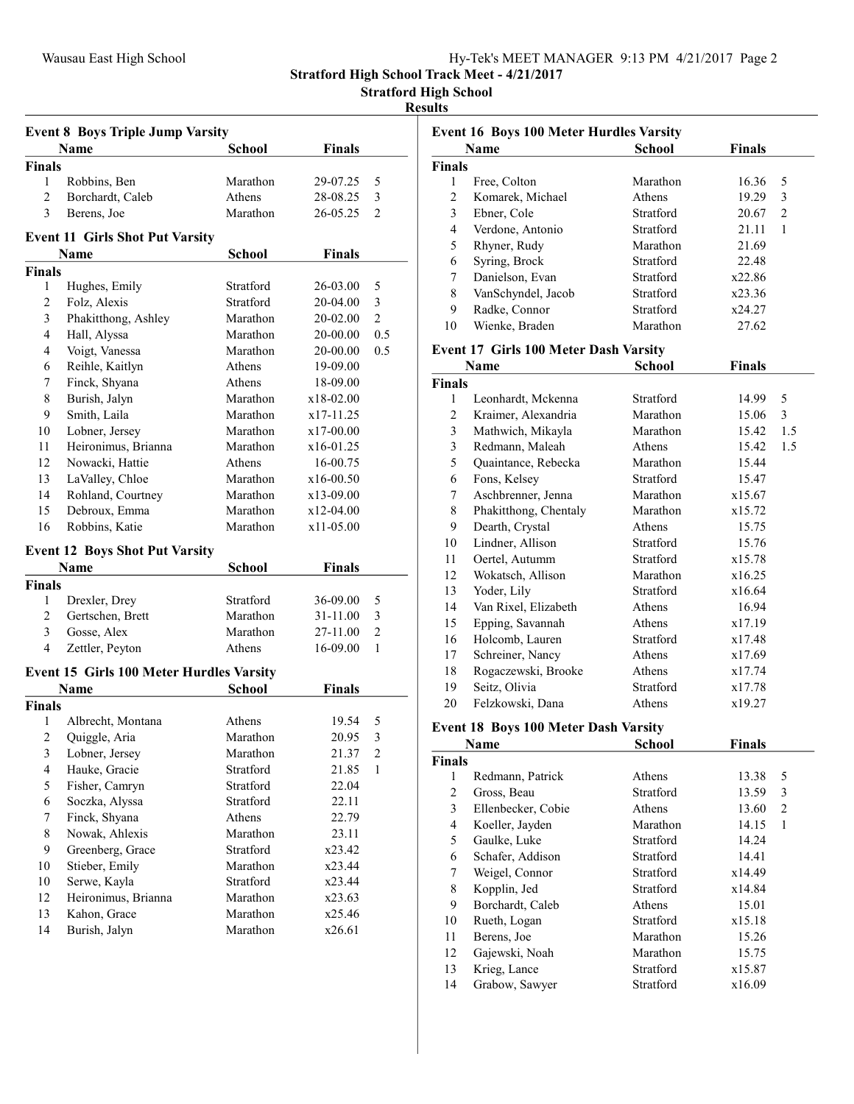Event 16 Boys 100 Meter Hurdles Varsity

Stratford High School Track Meet - 4/21/2017

Stratford High School

#### Results

|               | <b>Event 8 Boys Triple Jump Varsity</b>         |                  |               |                |
|---------------|-------------------------------------------------|------------------|---------------|----------------|
|               | Name                                            | School           | <b>Finals</b> |                |
| Finals        |                                                 |                  |               |                |
| 1             | Robbins, Ben                                    | Marathon         | 29-07.25      | 5              |
| 2             | Borchardt, Caleb                                | Athens           | 28-08.25      | 3              |
| 3             | Berens, Joe                                     | Marathon         | 26-05.25      | $\overline{c}$ |
|               | <b>Event 11 Girls Shot Put Varsity</b>          |                  |               |                |
|               | Name                                            | School           | Finals        |                |
| <b>Finals</b> |                                                 |                  |               |                |
| 1             | Hughes, Emily                                   | Stratford        | 26-03.00      | 5              |
| 2             | Folz, Alexis                                    | <b>Stratford</b> | 20-04.00      | 3              |
| 3             | Phakitthong, Ashley                             | Marathon         | 20-02.00      | $\overline{2}$ |
| 4             | Hall, Alyssa                                    | Marathon         | 20-00.00      | 0.5            |
| 4             | Voigt, Vanessa                                  | Marathon         | 20-00.00      | 0.5            |
| 6             | Reihle, Kaitlyn                                 | Athens           | 19-09.00      |                |
| 7             | Finck, Shyana                                   | Athens           | 18-09.00      |                |
| 8             | Burish, Jalyn                                   | Marathon         | x18-02.00     |                |
| 9             | Smith, Laila                                    | Marathon         | x17-11.25     |                |
| 10            | Lobner, Jersey                                  | Marathon         | x17-00.00     |                |
| 11            | Heironimus, Brianna                             | Marathon         | x16-01.25     |                |
| 12            | Nowacki, Hattie                                 | Athens           | 16-00.75      |                |
| 13            | LaValley, Chloe                                 | Marathon         | x16-00.50     |                |
| 14            | Rohland, Courtney                               | Marathon         | x13-09.00     |                |
| 15            | Debroux, Emma                                   | Marathon         | x12-04.00     |                |
| 16            | Robbins, Katie                                  | Marathon         | x11-05.00     |                |
|               |                                                 |                  |               |                |
|               | <b>Event 12 Boys Shot Put Varsity</b>           |                  |               |                |
|               | Name                                            | School           | Finals        |                |
| <b>Finals</b> |                                                 |                  |               |                |
| 1             | Drexler, Drey                                   | Stratford        | 36-09.00      | 5              |
| 2             | Gertschen, Brett                                | Marathon         | 31-11.00      | 3              |
| 3             | Gosse, Alex                                     | Marathon         | 27-11.00      | $\overline{2}$ |
| 4             | Zettler, Peyton                                 | Athens           | 16-09.00      | $\mathbf{1}$   |
|               | <b>Event 15 Girls 100 Meter Hurdles Varsity</b> |                  |               |                |
|               | Name                                            | School           | Finals        |                |
| <b>Finals</b> |                                                 |                  |               |                |
| 1             | Albrecht, Montana                               | Athens           | 19.54         | 5              |
| 2             | Quiggle, Aria                                   | Marathon         | 20.95         | 3              |
| 3             | Lobner, Jersey                                  | Marathon         | 21.37         | 2              |
| 4             | Hauke, Gracie                                   | Stratford        | 21.85         | 1              |
| 5             | Fisher, Camryn                                  | Stratford        | 22.04         |                |
| 6             | Soczka, Alyssa                                  | Stratford        | 22.11         |                |
| 7             | Finck, Shyana                                   | Athens           | 22.79         |                |
| $\,$ $\,$     | Nowak, Ahlexis                                  | Marathon         | 23.11         |                |
| 9             | Greenberg, Grace                                | Stratford        | x23.42        |                |
| 10            | Stieber, Emily                                  | Marathon         | x23.44        |                |
| 10            | Serwe, Kayla                                    | Stratford        | x23.44        |                |
| 12            | Heironimus, Brianna                             | Marathon         | x23.63        |                |
| 13            | Kahon, Grace                                    | Marathon         | x25.46        |                |
| 14            | Burish, Jalyn                                   | Marathon         | x26.61        |                |
|               |                                                 |                  |               |                |

|                         | <b>Name</b>                                  | <b>School</b>    | <b>Finals</b> |                |
|-------------------------|----------------------------------------------|------------------|---------------|----------------|
| Finals                  |                                              |                  |               |                |
| 1                       | Free, Colton                                 | Marathon         | 16.36         | 5              |
| $\overline{c}$          | Komarek, Michael                             | Athens           | 19.29         | 3              |
| $\overline{\mathbf{3}}$ | Ebner, Cole                                  | Stratford        | 20.67         | $\overline{c}$ |
| $\overline{\mathbf{4}}$ | Verdone, Antonio                             | Stratford        | 21.11         | $\mathbf{1}$   |
| 5                       | Rhyner, Rudy                                 | Marathon         | 21.69         |                |
| 6                       | Syring, Brock                                | Stratford        | 22.48         |                |
| 7                       | Danielson, Evan                              | Stratford        | x22.86        |                |
| 8                       | VanSchyndel, Jacob                           | Stratford        | x23.36        |                |
| 9                       | Radke, Connor                                | Stratford        | x24.27        |                |
| 10                      | Wienke, Braden                               | Marathon         | 27.62         |                |
|                         | <b>Event 17 Girls 100 Meter Dash Varsity</b> |                  |               |                |
|                         | Name                                         | <b>School</b>    | <b>Finals</b> |                |
| <b>Finals</b>           |                                              |                  |               |                |
| 1                       | Leonhardt, Mckenna                           | Stratford        | 14.99         | 5              |
| $\overline{c}$          | Kraimer, Alexandria                          | Marathon         | 15.06         | 3              |
| 3                       | Mathwich, Mikayla                            | Marathon         | 15.42         | 1.5            |
| $\overline{\mathbf{3}}$ | Redmann, Maleah                              | Athens           | 15.42         | 1.5            |
| 5                       | Quaintance, Rebecka                          | Marathon         | 15.44         |                |
| 6                       | Fons, Kelsey                                 | Stratford        | 15.47         |                |
| $\overline{7}$          | Aschbrenner, Jenna                           | Marathon         | x15.67        |                |
| $\,$ $\,$               | Phakitthong, Chentaly                        | Marathon         | x15.72        |                |
| 9                       | Dearth, Crystal                              | Athens           | 15.75         |                |
| 10                      | Lindner, Allison                             | <b>Stratford</b> | 15.76         |                |
| 11                      | Oertel, Autumm                               | Stratford        | x15.78        |                |
| 12                      | Wokatsch, Allison                            | Marathon         | x16.25        |                |
| 13                      | Yoder, Lily                                  | Stratford        | x16.64        |                |
| 14                      | Van Rixel, Elizabeth                         | Athens           | 16.94         |                |
| 15                      | Epping, Savannah                             | Athens           | x17.19        |                |
| 16                      | Holcomb, Lauren                              | Stratford        | x17.48        |                |
| 17                      | Schreiner, Nancy                             | Athens           | x17.69        |                |
| 18                      | Rogaczewski, Brooke                          | Athens           | x17.74        |                |
| 19                      | Seitz, Olivia                                | Stratford        | x17.78        |                |
| 20                      | Felzkowski, Dana                             | Athens           | x19.27        |                |
|                         | <b>Event 18 Boys 100 Meter Dash Varsity</b>  |                  |               |                |
|                         | <b>Name</b>                                  | <b>School</b>    | <b>Finals</b> |                |
| Finals                  |                                              |                  |               |                |
| 1                       | Redmann, Patrick                             | Athens           | 13.38         | 5              |
| $\overline{c}$          | Gross, Beau                                  | Stratford        | 13.59         | 3              |
| 3                       | Ellenbecker, Cobie                           | Athens           | 13.60         | $\overline{c}$ |
| $\overline{4}$          | Koeller, Jayden                              | Marathon         | 14.15         | $\mathbf{1}$   |

5 Gaulke, Luke Stratford 14.24 6 14.41 Schafer, Addison Stratford 7 x14.49 Weigel, Connor Stratford 8 Kopplin, Jed<br>
9 Borchardt, Caleb<br>
Athens
15.01 9 15.01 Borchardt, Caleb Athens 10 x15.18 Rueth, Logan Stratford 11 Berens, Joe Marathon 15.26 12 15.75 Gajewski, Noah Marathon 13 x15.87 Krieg, Lance Stratford 14 x16.09 Grabow, Sawyer Stratford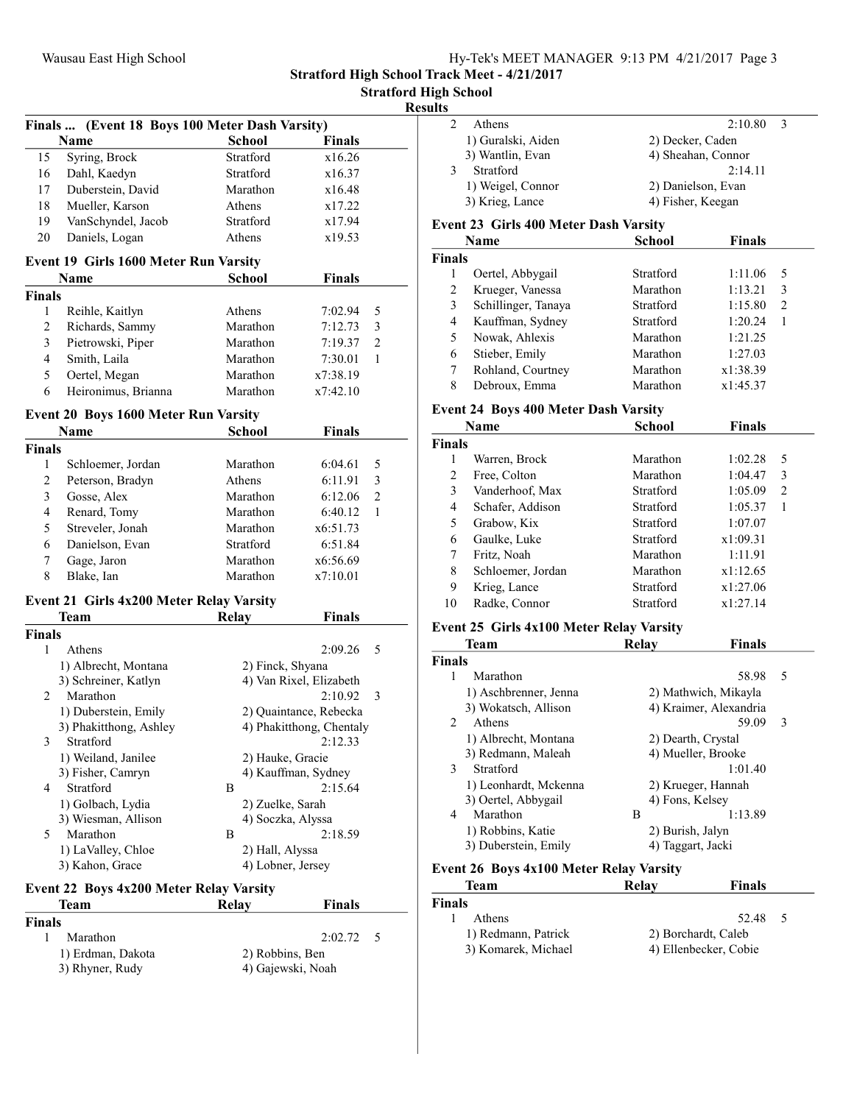| Hy-Tek's MEET MANAGER 9:13 PM 4/21/2017 Page 3 |  |  |
|------------------------------------------------|--|--|
|                                                |  |  |

Stratford High School Track Meet - 4/21/2017

Stratford High School

# Results

|               | Finals  (Event 18 Boys 100 Meter Dash Varsity) |                                      |                                                    |  |
|---------------|------------------------------------------------|--------------------------------------|----------------------------------------------------|--|
|               | Name                                           | <b>School</b>                        | <b>Finals</b>                                      |  |
| 15            | Syring, Brock                                  | Stratford                            | x16.26                                             |  |
| 16            | Dahl, Kaedyn                                   | Stratford                            | x16.37                                             |  |
| 17            | Duberstein, David                              | Marathon                             | x16.48                                             |  |
| 18            | Mueller, Karson                                | Athens                               | x17.22                                             |  |
| 19            | VanSchyndel, Jacob                             | Stratford                            | x17.94                                             |  |
| 20            | Daniels, Logan                                 | Athens                               | x19.53                                             |  |
|               | <b>Event 19 Girls 1600 Meter Run Varsity</b>   |                                      |                                                    |  |
|               | Name                                           | School                               | <b>Finals</b>                                      |  |
| <b>Finals</b> |                                                |                                      |                                                    |  |
| 1             | Reihle, Kaitlyn                                | Athens                               | 7:02.94<br>5                                       |  |
| 2             | Richards, Sammy                                | Marathon                             | 3<br>7:12.73                                       |  |
| 3             | Pietrowski, Piper                              | Marathon                             | 2<br>7:19.37                                       |  |
| 4             | Smith, Laila                                   | Marathon                             | 7:30.01<br>1                                       |  |
| 5             | Oertel, Megan                                  | Marathon                             | x7:38.19                                           |  |
| 6             | Heironimus, Brianna                            | Marathon                             | x7:42.10                                           |  |
|               | <b>Event 20 Boys 1600 Meter Run Varsity</b>    |                                      |                                                    |  |
|               | Name                                           | School                               | Finals                                             |  |
| <b>Finals</b> |                                                |                                      |                                                    |  |
| 1             | Schloemer, Jordan                              | Marathon                             | 6:04.61<br>5                                       |  |
| 2             | Peterson, Bradyn                               | Athens                               | 3<br>6:11.91                                       |  |
| 3             | Gosse, Alex                                    | Marathon                             | 2<br>6:12.06                                       |  |
| 4             | Renard, Tomy                                   | Marathon                             | 1<br>6:40.12                                       |  |
| 5             | Streveler, Jonah                               | Marathon                             | x6:51.73                                           |  |
| 6             | Danielson, Evan                                | Stratford                            | 6:51.84                                            |  |
| 7             | Gage, Jaron                                    | Marathon                             | x6:56.69                                           |  |
| 8             | Blake, Ian                                     | Marathon                             | x7:10.01                                           |  |
|               |                                                |                                      |                                                    |  |
|               | Event 21 Girls 4x200 Meter Relay Varsity       |                                      |                                                    |  |
|               | Team                                           | <b>Relay</b>                         | Finals                                             |  |
| <b>Finals</b> |                                                |                                      |                                                    |  |
| 1             | Athens                                         |                                      | 2:09.26<br>5                                       |  |
|               | 1) Albrecht, Montana                           | 2) Finck, Shyana                     |                                                    |  |
|               | 3) Schreiner, Katlyn                           |                                      | 4) Van Rixel, Elizabeth<br>3<br>2:10.92            |  |
| 2             | Marathon                                       |                                      |                                                    |  |
|               | 1) Duberstein, Emily<br>3) Phakitthong, Ashley |                                      | 2) Quaintance, Rebecka<br>4) Phakitthong, Chentaly |  |
| 3             | Stratford                                      |                                      | 2:12.33                                            |  |
|               | 1) Weiland, Janilee                            | 2) Hauke, Gracie                     |                                                    |  |
|               | 3) Fisher, Camryn                              | 4) Kauffman, Sydney                  |                                                    |  |
| 4             | Stratford                                      | В                                    | 2:15.64                                            |  |
|               | 1) Golbach, Lydia                              | 2) Zuelke, Sarah                     |                                                    |  |
|               | 3) Wiesman, Allison                            | 4) Soczka, Alyssa                    |                                                    |  |
| 5             | Marathon                                       | В                                    | 2:18.59                                            |  |
|               | 1) LaValley, Chloe                             |                                      |                                                    |  |
|               | 3) Kahon, Grace                                | 2) Hall, Alyssa<br>4) Lobner, Jersey |                                                    |  |
|               | Event 22 Boys 4x200 Meter Relay Varsity        |                                      |                                                    |  |
|               |                                                |                                      |                                                    |  |

| Team              | Relav           | <b>Finals</b>     |     |  |
|-------------------|-----------------|-------------------|-----|--|
| <b>Finals</b>     |                 |                   |     |  |
| Marathon          |                 | 2:02.72           | - 5 |  |
| 1) Erdman, Dakota | 2) Robbins, Ben |                   |     |  |
| 3) Rhyner, Rudy   |                 | 4) Gajewski, Noah |     |  |

| u |                    |                    |  |
|---|--------------------|--------------------|--|
|   | Athens             | 2:10.80            |  |
|   | 1) Guralski, Aiden | 2) Decker, Caden   |  |
|   | 3) Wantlin, Evan   | 4) Sheahan, Connor |  |
|   | Stratford          | 2:14.11            |  |
|   | 1) Weigel, Connor  | 2) Danielson, Evan |  |
|   | 3) Krieg, Lance    | 4) Fisher, Keegan  |  |
|   |                    |                    |  |

#### Event 23 Girls 400 Meter Dash Varsity

| Name          |                     | <b>School</b> | <b>Finals</b> |   |  |
|---------------|---------------------|---------------|---------------|---|--|
| <b>Finals</b> |                     |               |               |   |  |
|               | Oertel, Abbygail    | Stratford     | 1:11.06       | 5 |  |
| 2             | Krueger, Vanessa    | Marathon      | 1:13.21       | 3 |  |
| 3             | Schillinger, Tanaya | Stratford     | 1:15.80       | 2 |  |
| 4             | Kauffman, Sydney    | Stratford     | 1:20.24       |   |  |
| 5             | Nowak, Ahlexis      | Marathon      | 1:21.25       |   |  |
| 6             | Stieber, Emily      | Marathon      | 1:27.03       |   |  |
| 7             | Rohland, Courtney   | Marathon      | x1:38.39      |   |  |
| 8             | Debroux, Emma       | Marathon      | x1:45.37      |   |  |

#### Event 24 Boys 400 Meter Dash Varsity

|               | Name              | <b>School</b> | <b>Finals</b> |                               |  |
|---------------|-------------------|---------------|---------------|-------------------------------|--|
| <b>Finals</b> |                   |               |               |                               |  |
| 1             | Warren, Brock     | Marathon      | 1:02.28       | 5                             |  |
| 2             | Free, Colton      | Marathon      | 1:04.47       | 3                             |  |
| 3             | Vanderhoof, Max   | Stratford     | 1:05.09       | $\mathfrak{D}_{\mathfrak{p}}$ |  |
| 4             | Schafer, Addison  | Stratford     | 1:05.37       | 1                             |  |
| 5             | Grabow, Kix       | Stratford     | 1:07.07       |                               |  |
| 6             | Gaulke, Luke      | Stratford     | x1:09.31      |                               |  |
| 7             | Fritz, Noah       | Marathon      | 1:11.91       |                               |  |
| 8             | Schloemer, Jordan | Marathon      | x1:12.65      |                               |  |
| 9             | Krieg, Lance      | Stratford     | x1:27.06      |                               |  |
| 10            | Radke, Connor     | Stratford     | x1:27.14      |                               |  |
|               |                   |               |               |                               |  |

# Event 25 Girls 4x100 Meter Relay Varsity

|                | Team                  | Relay              | <b>Finals</b>          |  |
|----------------|-----------------------|--------------------|------------------------|--|
| <b>Finals</b>  |                       |                    |                        |  |
| 1              | Marathon              |                    | 58.98<br>5             |  |
|                | 1) Aschbrenner, Jenna |                    | 2) Mathwich, Mikayla   |  |
|                | 3) Wokatsch, Allison  |                    | 4) Kraimer, Alexandria |  |
| $\mathfrak{D}$ | Athens                |                    | 59.09<br>3             |  |
|                | 1) Albrecht, Montana  | 2) Dearth, Crystal |                        |  |
|                | 3) Redmann, Maleah    |                    | 4) Mueller, Brooke     |  |
| 3              | Stratford             |                    | 1:01.40                |  |
|                | 1) Leonhardt, Mckenna |                    | 2) Krueger, Hannah     |  |
|                | 3) Oertel, Abbygail   | 4) Fons, Kelsey    |                        |  |
| 4              | Marathon              | B                  | 1:13.89                |  |
|                | 1) Robbins, Katie     | 2) Burish, Jalyn   |                        |  |
|                | 3) Duberstein, Emily  | 4) Taggart, Jacki  |                        |  |

# Event 26 Boys 4x100 Meter Relay Varsity

| Team                | Relay | <b>Finals</b>         |  |
|---------------------|-------|-----------------------|--|
| <b>Finals</b>       |       |                       |  |
| Athens              |       | 52.48<br>-5           |  |
| 1) Redmann, Patrick |       | 2) Borchardt, Caleb   |  |
| 3) Komarek, Michael |       | 4) Ellenbecker, Cobie |  |